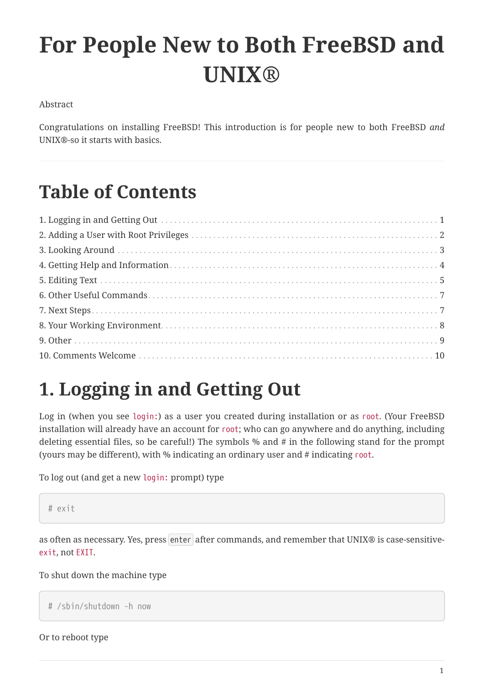# **For People New to Both FreeBSD and UNIX®**

### Abstract

Congratulations on installing FreeBSD! This introduction is for people new to both FreeBSD *and* UNIX®-so it starts with basics.

## **Table of Contents**

## <span id="page-0-0"></span>**1. Logging in and Getting Out**

Log in (when you see login:) as a user you created during installation or as root. (Your FreeBSD installation will already have an account for root; who can go anywhere and do anything, including deleting essential files, so be careful!) The symbols % and # in the following stand for the prompt (yours may be different), with % indicating an ordinary user and # indicating root.

To log out (and get a new login: prompt) type

```
# exit
```
as often as necessary. Yes, press enter after commands, and remember that UNIX® is case-sensitiveexit, not EXIT.

### To shut down the machine type

```
# /sbin/shutdown -h now
```
Or to reboot type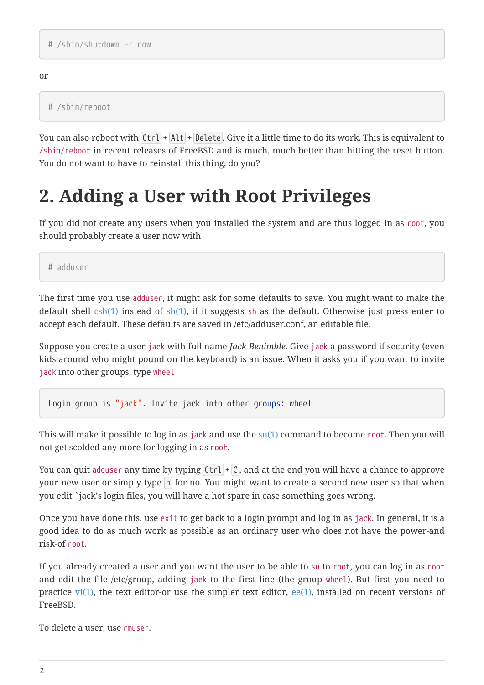or

# /sbin/reboot

You can also reboot with  $[Ctr] + [Alt] + [Delete]$ . Give it a little time to do its work. This is equivalent to /sbin/reboot in recent releases of FreeBSD and is much, much better than hitting the reset button. You do not want to have to reinstall this thing, do you?

## <span id="page-1-0"></span>**2. Adding a User with Root Privileges**

If you did not create any users when you installed the system and are thus logged in as root, you should probably create a user now with

# adduser

The first time you use adduser, it might ask for some defaults to save. You might want to make the default shell  $csh(1)$  instead of  $sh(1)$ , if it suggests sh as the default. Otherwise just press enter to accept each default. These defaults are saved in /etc/adduser.conf, an editable file.

Suppose you create a user jack with full name *Jack Benimble*. Give jack a password if security (even kids around who might pound on the keyboard) is an issue. When it asks you if you want to invite jack into other groups, type wheel

Login group is "jack". Invite jack into other groups: wheel

This will make it possible to log in as jack and use the  $su(1)$  command to become root. Then you will not get scolded any more for logging in as root.

You can quit adduser any time by typing  $|C| + |C|$ , and at the end you will have a chance to approve your new user or simply type n for no. You might want to create a second new user so that when you edit `jack's login files, you will have a hot spare in case something goes wrong.

Once you have done this, use exit to get back to a login prompt and log in as jack. In general, it is a good idea to do as much work as possible as an ordinary user who does not have the power-and risk-of root.

If you already created a user and you want the user to be able to su to root, you can log in as root and edit the file /etc/group, adding jack to the first line (the group wheel). But first you need to practice [vi\(1\)](https://www.freebsd.org/cgi/man.cgi?query=vi&sektion=1&format=html), the text editor-or use the simpler text editor,  $ee(1)$ , installed on recent versions of FreeBSD.

To delete a user, use rmuser.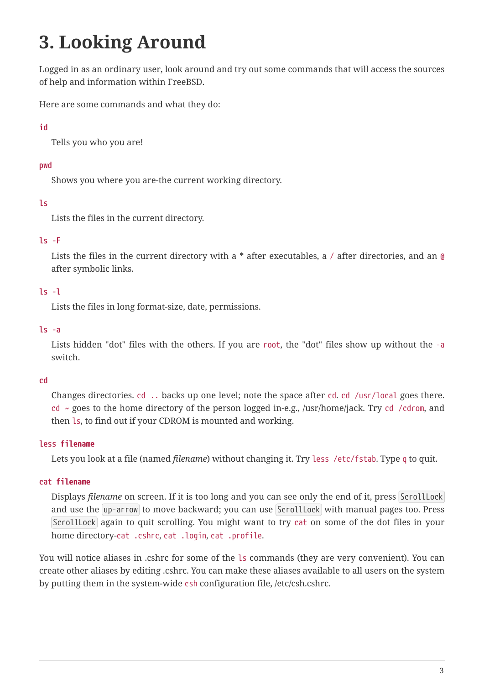## <span id="page-2-0"></span>**3. Looking Around**

Logged in as an ordinary user, look around and try out some commands that will access the sources of help and information within FreeBSD.

Here are some commands and what they do:

## **id**

Tells you who you are!

## **pwd**

Shows you where you are-the current working directory.

## **ls**

Lists the files in the current directory.

## **ls -F**

Lists the files in the current directory with a  $*$  after executables, a / after directories, and an @ after symbolic links.

## **ls -l**

Lists the files in long format-size, date, permissions.

## **ls -a**

Lists hidden "dot" files with the others. If you are root, the "dot" files show up without the -a switch.

## **cd**

Changes directories. cd .. backs up one level; note the space after cd. cd /usr/local goes there. cd  $\sim$  goes to the home directory of the person logged in-e.g., /usr/home/jack. Try cd /cdrom, and then ls, to find out if your CDROM is mounted and working.

## **less** *filename*

Lets you look at a file (named *filename*) without changing it. Try less /etc/fstab. Type q to quit.

## **cat** *filename*

Displays *filename* on screen. If it is too long and you can see only the end of it, press ScrollLock and use the up-arrow to move backward; you can use ScrollLock with manual pages too. Press ScrollLock again to quit scrolling. You might want to try cat on some of the dot files in your home directory-cat .cshrc, cat .login, cat .profile.

You will notice aliases in .cshrc for some of the ls commands (they are very convenient). You can create other aliases by editing .cshrc. You can make these aliases available to all users on the system by putting them in the system-wide csh configuration file, /etc/csh.cshrc.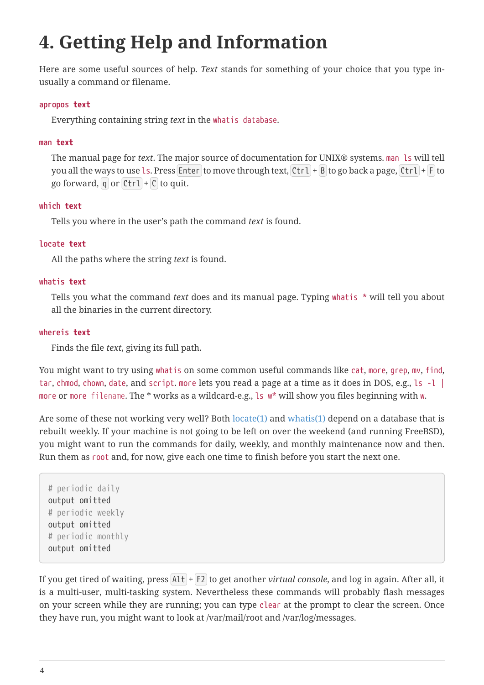## <span id="page-3-0"></span>**4. Getting Help and Information**

Here are some useful sources of help. *Text* stands for something of your choice that you type inusually a command or filename.

#### **apropos** *text*

Everything containing string *text* in the whatis database.

#### **man** *text*

The manual page for *text*. The major source of documentation for UNIX® systems. man ls will tell you all the ways to use ls. Press Enter to move through text,  $Ctrl + B$  to go back a page,  $Ctrl + F$  to go forward, q or  $Ctrl + C$  to quit.

#### **which** *text*

Tells you where in the user's path the command *text* is found.

#### **locate** *text*

All the paths where the string *text* is found.

#### **whatis** *text*

Tells you what the command *text* does and its manual page. Typing whatis \* will tell you about all the binaries in the current directory.

#### **whereis** *text*

Finds the file *text*, giving its full path.

You might want to try using whatis on some common useful commands like cat, more, grep, mv, find, tar, chmod, chown, date, and script. more lets you read a page at a time as it does in DOS, e.g., ls -l | more or more *filename*. The \* works as a wildcard-e.g., ls w\* will show you files beginning with w.

Are some of these not working very well? Both  $locate(1)$  and  $whatis(1)$  depend on a database that is rebuilt weekly. If your machine is not going to be left on over the weekend (and running FreeBSD), you might want to run the commands for daily, weekly, and monthly maintenance now and then. Run them as root and, for now, give each one time to finish before you start the next one.

```
# periodic daily
output omitted
# periodic weekly
output omitted
# periodic monthly
output omitted
```
If you get tired of waiting, press Alt + F2 to get another *virtual console*, and log in again. After all, it is a multi-user, multi-tasking system. Nevertheless these commands will probably flash messages on your screen while they are running; you can type clear at the prompt to clear the screen. Once they have run, you might want to look at /var/mail/root and /var/log/messages.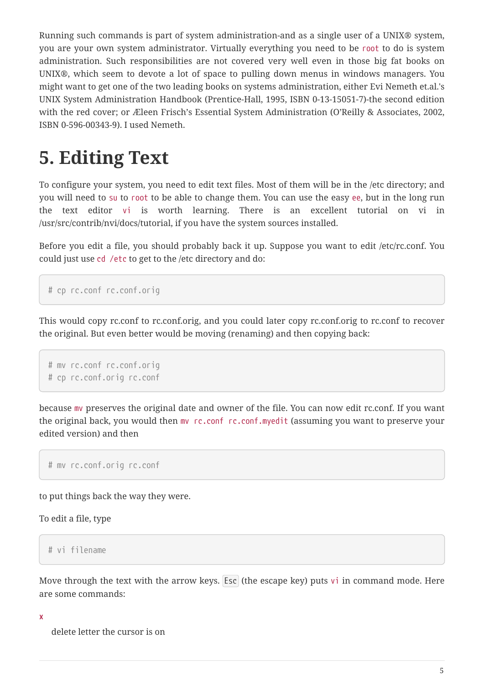Running such commands is part of system administration-and as a single user of a UNIX® system, you are your own system administrator. Virtually everything you need to be root to do is system administration. Such responsibilities are not covered very well even in those big fat books on UNIX®, which seem to devote a lot of space to pulling down menus in windows managers. You might want to get one of the two leading books on systems administration, either Evi Nemeth et.al.'s UNIX System Administration Handbook (Prentice-Hall, 1995, ISBN 0-13-15051-7)-the second edition with the red cover; or Æleen Frisch's Essential System Administration (O'Reilly & Associates, 2002, ISBN 0-596-00343-9). I used Nemeth.

## <span id="page-4-0"></span>**5. Editing Text**

To configure your system, you need to edit text files. Most of them will be in the /etc directory; and you will need to su to root to be able to change them. You can use the easy ee, but in the long run the text editor vi is worth learning. There is an excellent tutorial on vi in /usr/src/contrib/nvi/docs/tutorial, if you have the system sources installed.

Before you edit a file, you should probably back it up. Suppose you want to edit /etc/rc.conf. You could just use cd /etc to get to the /etc directory and do:

```
# cp rc.conf rc.conf.orig
```
This would copy rc.conf to rc.conf.orig, and you could later copy rc.conf.orig to rc.conf to recover the original. But even better would be moving (renaming) and then copying back:

```
# mv rc.conf rc.conf.orig
# cp rc.conf.orig rc.conf
```
because mv preserves the original date and owner of the file. You can now edit rc.conf. If you want the original back, you would then mv rc.conf rc.conf.myedit (assuming you want to preserve your edited version) and then

# mv rc.conf.orig rc.conf

to put things back the way they were.

To edit a file, type

# vi filename

Move through the text with the arrow keys. Esc (the escape key) puts vi in command mode. Here are some commands:

#### **x**

delete letter the cursor is on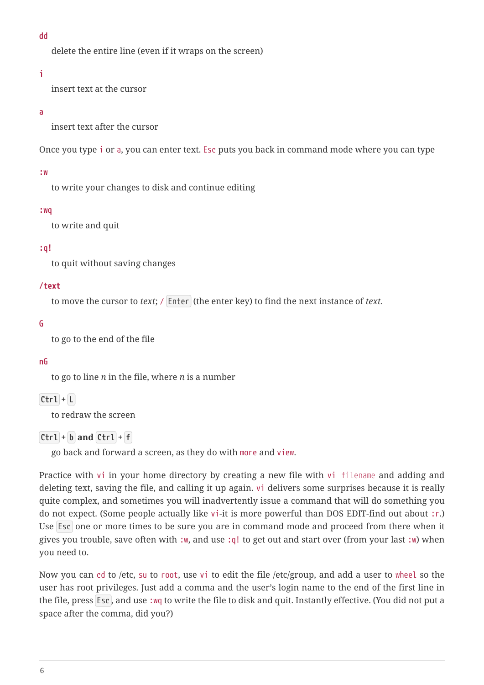**dd**

delete the entire line (even if it wraps on the screen)

#### **i**

insert text at the cursor

#### **a**

insert text after the cursor

Once you type i or a, you can enter text. Esc puts you back in command mode where you can type

#### **:w**

to write your changes to disk and continue editing

#### **:wq**

to write and quit

#### **:q!**

to quit without saving changes

#### **/***text*

to move the cursor to *text*; / Enter (the enter key) to find the next instance of *text*.

#### **G**

to go to the end of the file

#### **nG**

to go to line *n* in the file, where *n* is a number

### $[Ctr1 + L]$

to redraw the screen

### $[Ctrl] + [b]$  and  $[Ctrl] + [f]$

go back and forward a screen, as they do with more and view.

Practice with vi in your home directory by creating a new file with vi *filename* and adding and deleting text, saving the file, and calling it up again. vi delivers some surprises because it is really quite complex, and sometimes you will inadvertently issue a command that will do something you do not expect. (Some people actually like vi-it is more powerful than DOS EDIT-find out about :r.) Use Esc one or more times to be sure you are in command mode and proceed from there when it gives you trouble, save often with :w, and use :q! to get out and start over (from your last :w) when you need to.

Now you can cd to /etc, su to root, use vi to edit the file /etc/group, and add a user to wheel so the user has root privileges. Just add a comma and the user's login name to the end of the first line in the file, press Esc , and use :wq to write the file to disk and quit. Instantly effective. (You did not put a space after the comma, did you?)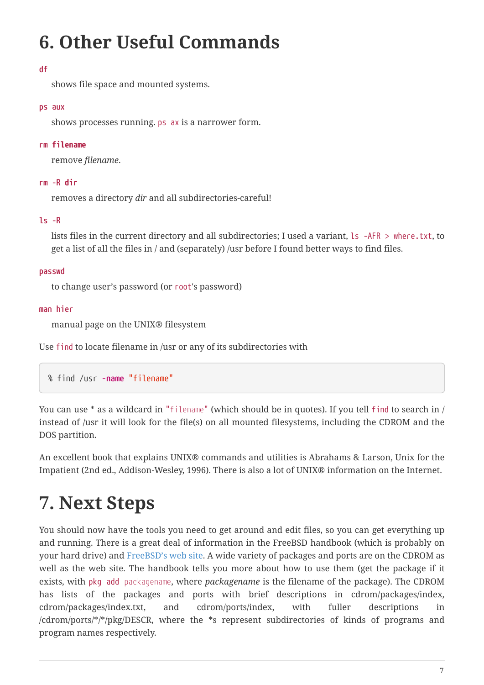## <span id="page-6-0"></span>**6. Other Useful Commands**

### **df**

shows file space and mounted systems.

### **ps aux**

shows processes running. ps ax is a narrower form.

### **rm** *filename*

remove *filename*.

### **rm -R** *dir*

removes a directory *dir* and all subdirectories-careful!

### **ls -R**

lists files in the current directory and all subdirectories; I used a variant, ls -AFR > where.txt, to get a list of all the files in / and (separately) /usr before I found better ways to find files.

### **passwd**

to change user's password (or root's password)

### **man hier**

manual page on the UNIX® filesystem

Use find to locate filename in /usr or any of its subdirectories with

% find /usr **-name** "filename"

You can use \* as a wildcard in "*filename*" (which should be in quotes). If you tell find to search in / instead of /usr it will look for the file(s) on all mounted filesystems, including the CDROM and the DOS partition.

An excellent book that explains UNIX® commands and utilities is Abrahams & Larson, Unix for the Impatient (2nd ed., Addison-Wesley, 1996). There is also a lot of UNIX® information on the Internet.

## <span id="page-6-1"></span>**7. Next Steps**

You should now have the tools you need to get around and edit files, so you can get everything up and running. There is a great deal of information in the FreeBSD handbook (which is probably on your hard drive) and [FreeBSD's web site.](https://www.FreeBSD.org/) A wide variety of packages and ports are on the CDROM as well as the web site. The handbook tells you more about how to use them (get the package if it exists, with pkg add *packagename*, where *packagename* is the filename of the package). The CDROM has lists of the packages and ports with brief descriptions in cdrom/packages/index, cdrom/packages/index.txt, and cdrom/ports/index, with fuller descriptions in /cdrom/ports/\*/\*/pkg/DESCR, where the \*s represent subdirectories of kinds of programs and program names respectively.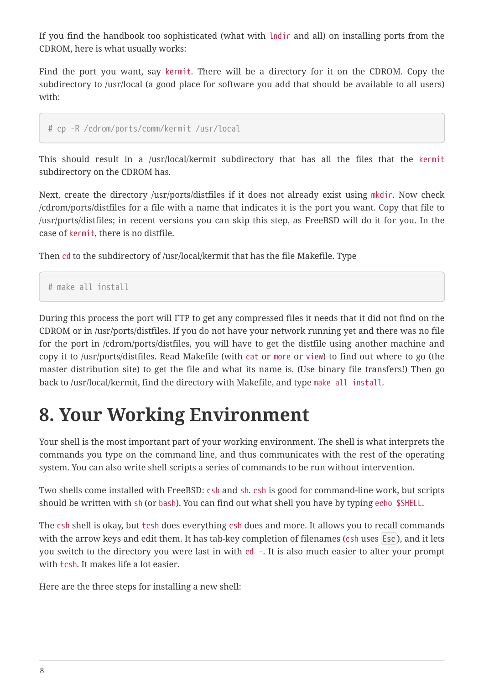If you find the handbook too sophisticated (what with lndir and all) on installing ports from the CDROM, here is what usually works:

Find the port you want, say kermit. There will be a directory for it on the CDROM. Copy the subdirectory to /usr/local (a good place for software you add that should be available to all users) with:

```
# cp -R /cdrom/ports/comm/kermit /usr/local
```
This should result in a /usr/local/kermit subdirectory that has all the files that the kermit subdirectory on the CDROM has.

Next, create the directory /usr/ports/distfiles if it does not already exist using mkdir. Now check /cdrom/ports/distfiles for a file with a name that indicates it is the port you want. Copy that file to /usr/ports/distfiles; in recent versions you can skip this step, as FreeBSD will do it for you. In the case of kermit, there is no distfile.

Then cd to the subdirectory of /usr/local/kermit that has the file Makefile. Type

```
# make all install
```
During this process the port will FTP to get any compressed files it needs that it did not find on the CDROM or in /usr/ports/distfiles. If you do not have your network running yet and there was no file for the port in /cdrom/ports/distfiles, you will have to get the distfile using another machine and copy it to /usr/ports/distfiles. Read Makefile (with cat or more or view) to find out where to go (the master distribution site) to get the file and what its name is. (Use binary file transfers!) Then go back to /usr/local/kermit, find the directory with Makefile, and type make all install.

## <span id="page-7-0"></span>**8. Your Working Environment**

Your shell is the most important part of your working environment. The shell is what interprets the commands you type on the command line, and thus communicates with the rest of the operating system. You can also write shell scripts a series of commands to be run without intervention.

Two shells come installed with FreeBSD: csh and sh. csh is good for command-line work, but scripts should be written with sh (or bash). You can find out what shell you have by typing echo \$SHELL.

The csh shell is okay, but tcsh does everything csh does and more. It allows you to recall commands with the arrow keys and edit them. It has tab-key completion of filenames (csh uses Esc), and it lets you switch to the directory you were last in with cd -. It is also much easier to alter your prompt with tcsh. It makes life a lot easier.

Here are the three steps for installing a new shell: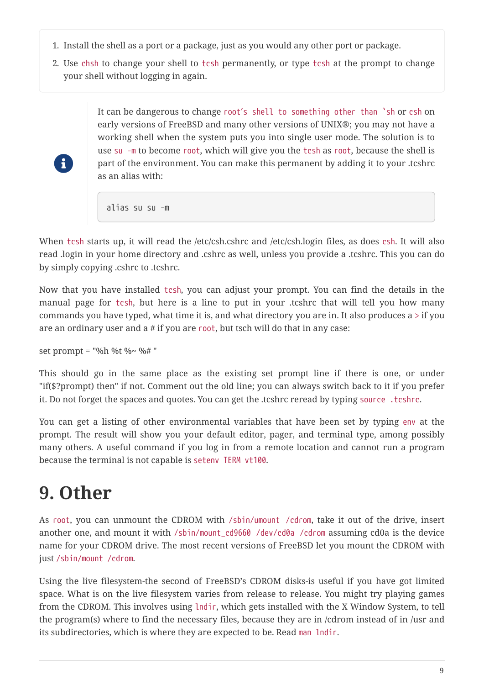- 1. Install the shell as a port or a package, just as you would any other port or package.
- 2. Use chsh to change your shell to tcsh permanently, or type tcsh at the prompt to change your shell without logging in again.

It can be dangerous to change root's shell to something other than `sh or csh on early versions of FreeBSD and many other versions of UNIX®; you may not have a working shell when the system puts you into single user mode. The solution is to use su -m to become root, which will give you the tcsh as root, because the shell is part of the environment. You can make this permanent by adding it to your .tcshrc as an alias with:

alias su su -m

When tcsh starts up, it will read the /etc/csh.cshrc and /etc/csh.login files, as does csh. It will also read .login in your home directory and .cshrc as well, unless you provide a .tcshrc. This you can do by simply copying .cshrc to .tcshrc.

Now that you have installed tcsh, you can adjust your prompt. You can find the details in the manual page for tcsh, but here is a line to put in your .tcshrc that will tell you how many commands you have typed, what time it is, and what directory you are in. It also produces a  $>$  if you are an ordinary user and a # if you are root, but tsch will do that in any case:

set prompt = "%h %t %~ %#"

 $\mathbf{i}$ 

This should go in the same place as the existing set prompt line if there is one, or under "if(\$?prompt) then" if not. Comment out the old line; you can always switch back to it if you prefer it. Do not forget the spaces and quotes. You can get the .tcshrc reread by typing source .tcshrc.

You can get a listing of other environmental variables that have been set by typing env at the prompt. The result will show you your default editor, pager, and terminal type, among possibly many others. A useful command if you log in from a remote location and cannot run a program because the terminal is not capable is setenv TERM vt100.

## <span id="page-8-0"></span>**9. Other**

As root, you can unmount the CDROM with /sbin/umount /cdrom, take it out of the drive, insert another one, and mount it with /sbin/mount\_cd9660 /dev/cd0a /cdrom assuming cd0a is the device name for your CDROM drive. The most recent versions of FreeBSD let you mount the CDROM with just /sbin/mount /cdrom.

Using the live filesystem-the second of FreeBSD's CDROM disks-is useful if you have got limited space. What is on the live filesystem varies from release to release. You might try playing games from the CDROM. This involves using lndir, which gets installed with the X Window System, to tell the program(s) where to find the necessary files, because they are in /cdrom instead of in /usr and its subdirectories, which is where they are expected to be. Read man lndir.